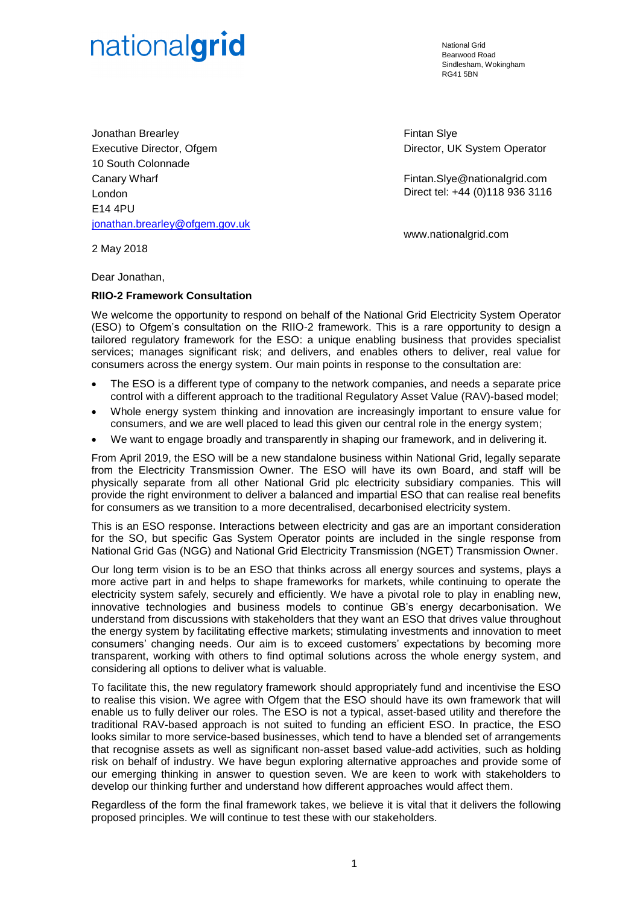nationalgrid

National Grid Bearwood Road Sindlesham, Wokingham RG41 5BN

Jonathan Brearley Executive Director, Ofgem 10 South Colonnade Canary Wharf London E14 4PU [jonathan.brearley@ofgem.gov.uk](mailto:jonathan.brearley@ofgem.gov.uk)

Fintan Slye Director, UK System Operator

Fintan.Slye@nationalgrid.com Direct tel: +44 (0)118 936 3116

www.nationalgrid.com

2 May 2018

Dear Jonathan,

# **RIIO-2 Framework Consultation**

We welcome the opportunity to respond on behalf of the National Grid Electricity System Operator (ESO) to Ofgem's consultation on the RIIO-2 framework. This is a rare opportunity to design a tailored regulatory framework for the ESO: a unique enabling business that provides specialist services; manages significant risk; and delivers, and enables others to deliver, real value for consumers across the energy system. Our main points in response to the consultation are:

- The ESO is a different type of company to the network companies, and needs a separate price control with a different approach to the traditional Regulatory Asset Value (RAV)-based model;
- Whole energy system thinking and innovation are increasingly important to ensure value for consumers, and we are well placed to lead this given our central role in the energy system;
- We want to engage broadly and transparently in shaping our framework, and in delivering it.

From April 2019, the ESO will be a new standalone business within National Grid, legally separate from the Electricity Transmission Owner. The ESO will have its own Board, and staff will be physically separate from all other National Grid plc electricity subsidiary companies. This will provide the right environment to deliver a balanced and impartial ESO that can realise real benefits for consumers as we transition to a more decentralised, decarbonised electricity system.

This is an ESO response. Interactions between electricity and gas are an important consideration for the SO, but specific Gas System Operator points are included in the single response from National Grid Gas (NGG) and National Grid Electricity Transmission (NGET) Transmission Owner.

Our long term vision is to be an ESO that thinks across all energy sources and systems, plays a more active part in and helps to shape frameworks for markets, while continuing to operate the electricity system safely, securely and efficiently. We have a pivotal role to play in enabling new, innovative technologies and business models to continue GB's energy decarbonisation. We understand from discussions with stakeholders that they want an ESO that drives value throughout the energy system by facilitating effective markets; stimulating investments and innovation to meet consumers' changing needs. Our aim is to exceed customers' expectations by becoming more transparent, working with others to find optimal solutions across the whole energy system, and considering all options to deliver what is valuable.

To facilitate this, the new regulatory framework should appropriately fund and incentivise the ESO to realise this vision. We agree with Ofgem that the ESO should have its own framework that will enable us to fully deliver our roles. The ESO is not a typical, asset-based utility and therefore the traditional RAV-based approach is not suited to funding an efficient ESO. In practice, the ESO looks similar to more service-based businesses, which tend to have a blended set of arrangements that recognise assets as well as significant non-asset based value-add activities, such as holding risk on behalf of industry. We have begun exploring alternative approaches and provide some of our emerging thinking in answer to question seven. We are keen to work with stakeholders to develop our thinking further and understand how different approaches would affect them.

Regardless of the form the final framework takes, we believe it is vital that it delivers the following proposed principles. We will continue to test these with our stakeholders.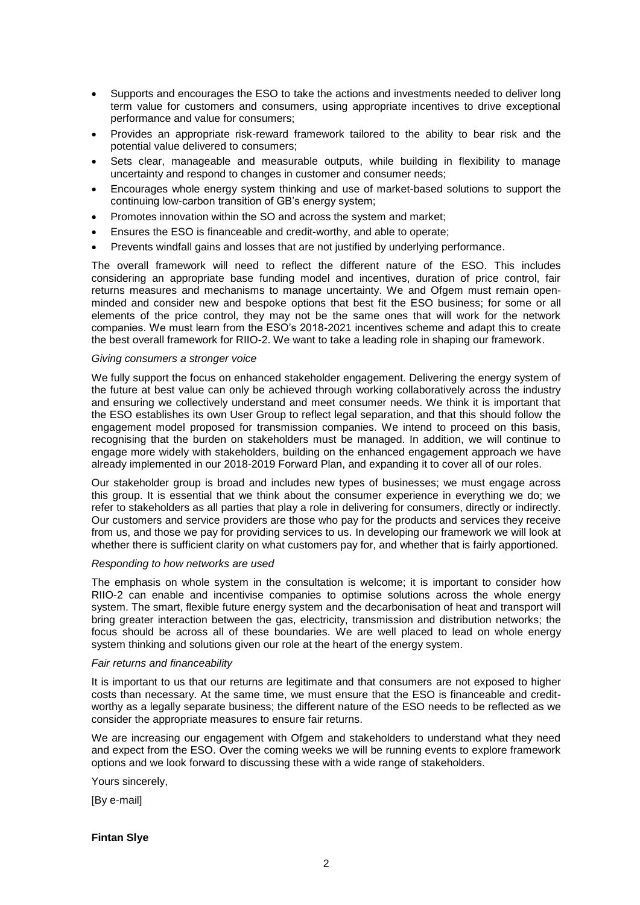- Supports and encourages the ESO to take the actions and investments needed to deliver long term value for customers and consumers, using appropriate incentives to drive exceptional performance and value for consumers;
- Provides an appropriate risk-reward framework tailored to the ability to bear risk and the potential value delivered to consumers;
- Sets clear, manageable and measurable outputs, while building in flexibility to manage uncertainty and respond to changes in customer and consumer needs;
- Encourages whole energy system thinking and use of market-based solutions to support the continuing low-carbon transition of GB's energy system;
- Promotes innovation within the SO and across the system and market;
- Ensures the ESO is financeable and credit-worthy, and able to operate;
- Prevents windfall gains and losses that are not justified by underlying performance.

The overall framework will need to reflect the different nature of the ESO. This includes considering an appropriate base funding model and incentives, duration of price control, fair returns measures and mechanisms to manage uncertainty. We and Ofgem must remain openminded and consider new and bespoke options that best fit the ESO business; for some or all elements of the price control, they may not be the same ones that will work for the network companies. We must learn from the ESO's 2018-2021 incentives scheme and adapt this to create the best overall framework for RIIO-2. We want to take a leading role in shaping our framework.

#### *Giving consumers a stronger voice*

We fully support the focus on enhanced stakeholder engagement. Delivering the energy system of the future at best value can only be achieved through working collaboratively across the industry and ensuring we collectively understand and meet consumer needs. We think it is important that the ESO establishes its own User Group to reflect legal separation, and that this should follow the engagement model proposed for transmission companies. We intend to proceed on this basis, recognising that the burden on stakeholders must be managed. In addition, we will continue to engage more widely with stakeholders, building on the enhanced engagement approach we have already implemented in our 2018-2019 Forward Plan, and expanding it to cover all of our roles.

Our stakeholder group is broad and includes new types of businesses; we must engage across this group. It is essential that we think about the consumer experience in everything we do; we refer to stakeholders as all parties that play a role in delivering for consumers, directly or indirectly. Our customers and service providers are those who pay for the products and services they receive from us, and those we pay for providing services to us. In developing our framework we will look at whether there is sufficient clarity on what customers pay for, and whether that is fairly apportioned.

#### *Responding to how networks are used*

The emphasis on whole system in the consultation is welcome; it is important to consider how RIIO-2 can enable and incentivise companies to optimise solutions across the whole energy system. The smart, flexible future energy system and the decarbonisation of heat and transport will bring greater interaction between the gas, electricity, transmission and distribution networks; the focus should be across all of these boundaries. We are well placed to lead on whole energy system thinking and solutions given our role at the heart of the energy system.

### *Fair returns and financeability*

It is important to us that our returns are legitimate and that consumers are not exposed to higher costs than necessary. At the same time, we must ensure that the ESO is financeable and creditworthy as a legally separate business; the different nature of the ESO needs to be reflected as we consider the appropriate measures to ensure fair returns.

We are increasing our engagement with Ofgem and stakeholders to understand what they need and expect from the ESO. Over the coming weeks we will be running events to explore framework options and we look forward to discussing these with a wide range of stakeholders.

Yours sincerely,

[By e-mail]

**Fintan Slye**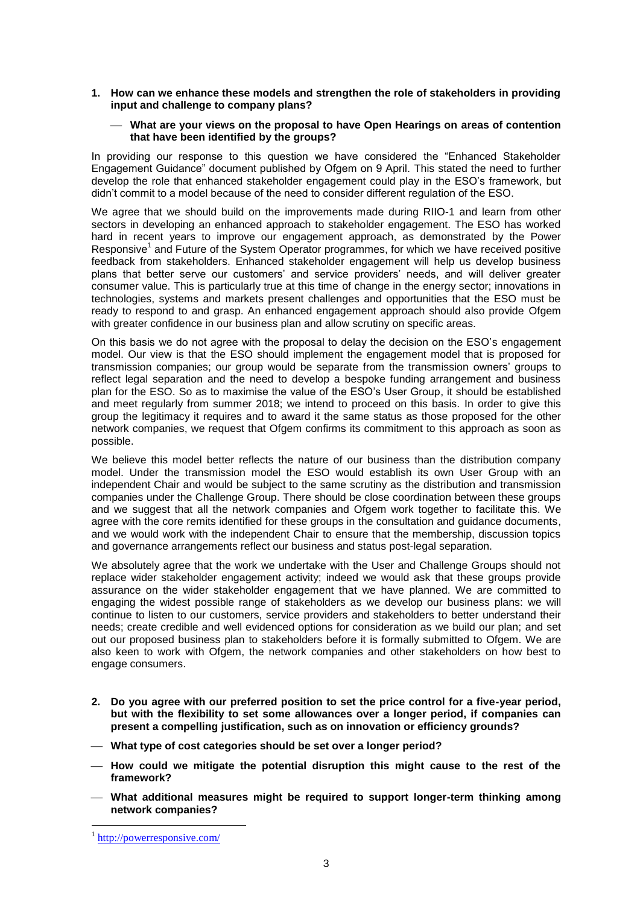**1. How can we enhance these models and strengthen the role of stakeholders in providing input and challenge to company plans?** 

### **What are your views on the proposal to have Open Hearings on areas of contention that have been identified by the groups?**

In providing our response to this question we have considered the "Enhanced Stakeholder Engagement Guidance" document published by Ofgem on 9 April. This stated the need to further develop the role that enhanced stakeholder engagement could play in the ESO's framework, but didn't commit to a model because of the need to consider different regulation of the ESO.

We agree that we should build on the improvements made during RIIO-1 and learn from other sectors in developing an enhanced approach to stakeholder engagement. The ESO has worked hard in recent years to improve our engagement approach, as demonstrated by the Power Responsive<sup>1</sup> and Future of the System Operator programmes, for which we have received positive feedback from stakeholders. Enhanced stakeholder engagement will help us develop business plans that better serve our customers' and service providers' needs, and will deliver greater consumer value. This is particularly true at this time of change in the energy sector; innovations in technologies, systems and markets present challenges and opportunities that the ESO must be ready to respond to and grasp. An enhanced engagement approach should also provide Ofgem with greater confidence in our business plan and allow scrutiny on specific areas.

On this basis we do not agree with the proposal to delay the decision on the ESO's engagement model. Our view is that the ESO should implement the engagement model that is proposed for transmission companies; our group would be separate from the transmission owners' groups to reflect legal separation and the need to develop a bespoke funding arrangement and business plan for the ESO. So as to maximise the value of the ESO's User Group, it should be established and meet regularly from summer 2018; we intend to proceed on this basis. In order to give this group the legitimacy it requires and to award it the same status as those proposed for the other network companies, we request that Ofgem confirms its commitment to this approach as soon as possible.

We believe this model better reflects the nature of our business than the distribution company model. Under the transmission model the ESO would establish its own User Group with an independent Chair and would be subject to the same scrutiny as the distribution and transmission companies under the Challenge Group. There should be close coordination between these groups and we suggest that all the network companies and Ofgem work together to facilitate this. We agree with the core remits identified for these groups in the consultation and guidance documents, and we would work with the independent Chair to ensure that the membership, discussion topics and governance arrangements reflect our business and status post-legal separation.

We absolutely agree that the work we undertake with the User and Challenge Groups should not replace wider stakeholder engagement activity; indeed we would ask that these groups provide assurance on the wider stakeholder engagement that we have planned. We are committed to engaging the widest possible range of stakeholders as we develop our business plans: we will continue to listen to our customers, service providers and stakeholders to better understand their needs; create credible and well evidenced options for consideration as we build our plan; and set out our proposed business plan to stakeholders before it is formally submitted to Ofgem. We are also keen to work with Ofgem, the network companies and other stakeholders on how best to engage consumers.

- **2. Do you agree with our preferred position to set the price control for a five-year period, but with the flexibility to set some allowances over a longer period, if companies can present a compelling justification, such as on innovation or efficiency grounds?**
- **What type of cost categories should be set over a longer period?**
- **How could we mitigate the potential disruption this might cause to the rest of the framework?**
- **What additional measures might be required to support longer-term thinking among network companies?**

<sup>&</sup>lt;sup>1</sup> <http://powerresponsive.com/>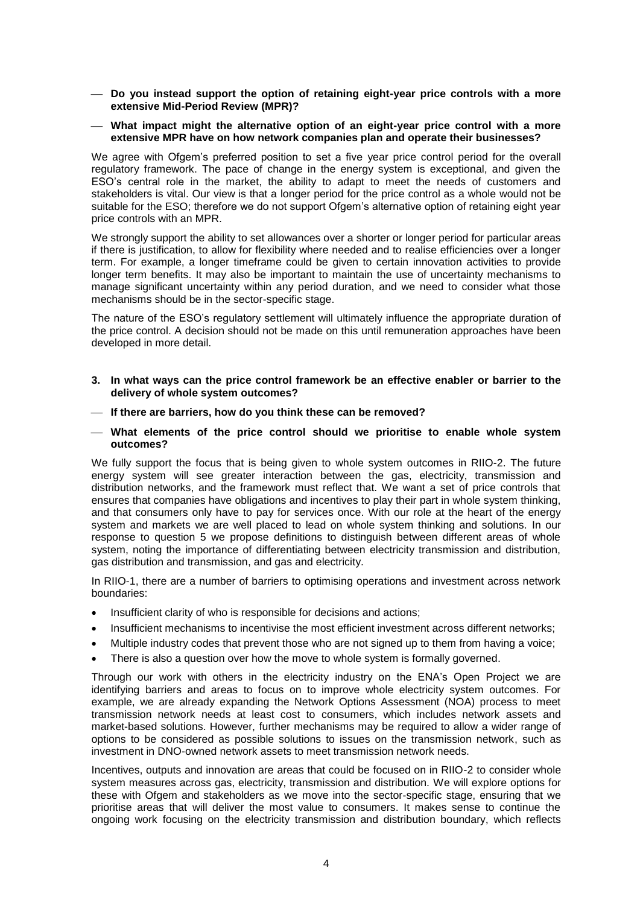- **Do you instead support the option of retaining eight-year price controls with a more extensive Mid-Period Review (MPR)?**
- **What impact might the alternative option of an eight-year price control with a more extensive MPR have on how network companies plan and operate their businesses?**

We agree with Ofgem's preferred position to set a five year price control period for the overall regulatory framework. The pace of change in the energy system is exceptional, and given the ESO's central role in the market, the ability to adapt to meet the needs of customers and stakeholders is vital. Our view is that a longer period for the price control as a whole would not be suitable for the ESO; therefore we do not support Ofgem's alternative option of retaining eight year price controls with an MPR.

We strongly support the ability to set allowances over a shorter or longer period for particular areas if there is justification, to allow for flexibility where needed and to realise efficiencies over a longer term. For example, a longer timeframe could be given to certain innovation activities to provide longer term benefits. It may also be important to maintain the use of uncertainty mechanisms to manage significant uncertainty within any period duration, and we need to consider what those mechanisms should be in the sector-specific stage.

The nature of the ESO's regulatory settlement will ultimately influence the appropriate duration of the price control. A decision should not be made on this until remuneration approaches have been developed in more detail.

- **3. In what ways can the price control framework be an effective enabler or barrier to the delivery of whole system outcomes?**
- **If there are barriers, how do you think these can be removed?**
- **What elements of the price control should we prioritise to enable whole system outcomes?**

We fully support the focus that is being given to whole system outcomes in RIIO-2. The future energy system will see greater interaction between the gas, electricity, transmission and distribution networks, and the framework must reflect that. We want a set of price controls that ensures that companies have obligations and incentives to play their part in whole system thinking, and that consumers only have to pay for services once. With our role at the heart of the energy system and markets we are well placed to lead on whole system thinking and solutions. In our response to question 5 we propose definitions to distinguish between different areas of whole system, noting the importance of differentiating between electricity transmission and distribution, gas distribution and transmission, and gas and electricity.

In RIIO-1, there are a number of barriers to optimising operations and investment across network boundaries:

- Insufficient clarity of who is responsible for decisions and actions;
- Insufficient mechanisms to incentivise the most efficient investment across different networks;
- Multiple industry codes that prevent those who are not signed up to them from having a voice;
- There is also a question over how the move to whole system is formally governed.

Through our work with others in the electricity industry on the ENA's Open Project we are identifying barriers and areas to focus on to improve whole electricity system outcomes. For example, we are already expanding the Network Options Assessment (NOA) process to meet transmission network needs at least cost to consumers, which includes network assets and market-based solutions. However, further mechanisms may be required to allow a wider range of options to be considered as possible solutions to issues on the transmission network, such as investment in DNO-owned network assets to meet transmission network needs.

Incentives, outputs and innovation are areas that could be focused on in RIIO-2 to consider whole system measures across gas, electricity, transmission and distribution. We will explore options for these with Ofgem and stakeholders as we move into the sector-specific stage, ensuring that we prioritise areas that will deliver the most value to consumers. It makes sense to continue the ongoing work focusing on the electricity transmission and distribution boundary, which reflects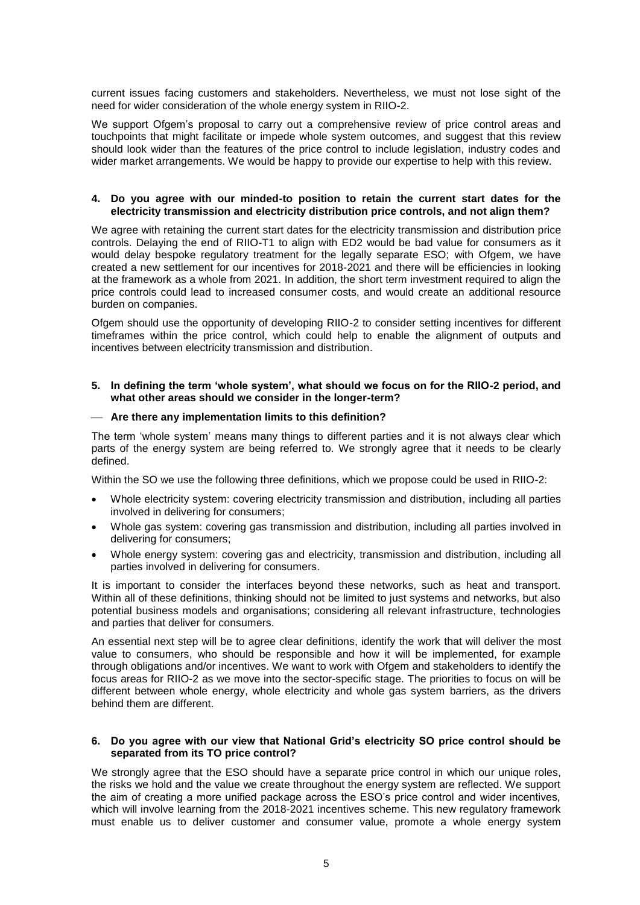current issues facing customers and stakeholders. Nevertheless, we must not lose sight of the need for wider consideration of the whole energy system in RIIO-2.

We support Ofgem's proposal to carry out a comprehensive review of price control areas and touchpoints that might facilitate or impede whole system outcomes, and suggest that this review should look wider than the features of the price control to include legislation, industry codes and wider market arrangements. We would be happy to provide our expertise to help with this review.

### **4. Do you agree with our minded-to position to retain the current start dates for the electricity transmission and electricity distribution price controls, and not align them?**

We agree with retaining the current start dates for the electricity transmission and distribution price controls. Delaying the end of RIIO-T1 to align with ED2 would be bad value for consumers as it would delay bespoke regulatory treatment for the legally separate ESO; with Ofgem, we have created a new settlement for our incentives for 2018-2021 and there will be efficiencies in looking at the framework as a whole from 2021. In addition, the short term investment required to align the price controls could lead to increased consumer costs, and would create an additional resource burden on companies.

Ofgem should use the opportunity of developing RIIO-2 to consider setting incentives for different timeframes within the price control, which could help to enable the alignment of outputs and incentives between electricity transmission and distribution.

## **5. In defining the term 'whole system', what should we focus on for the RIIO-2 period, and what other areas should we consider in the longer-term?**

#### **Are there any implementation limits to this definition?**

The term 'whole system' means many things to different parties and it is not always clear which parts of the energy system are being referred to. We strongly agree that it needs to be clearly defined.

Within the SO we use the following three definitions, which we propose could be used in RIIO-2:

- Whole electricity system: covering electricity transmission and distribution, including all parties involved in delivering for consumers;
- Whole gas system: covering gas transmission and distribution, including all parties involved in delivering for consumers;
- Whole energy system: covering gas and electricity, transmission and distribution, including all parties involved in delivering for consumers.

It is important to consider the interfaces beyond these networks, such as heat and transport. Within all of these definitions, thinking should not be limited to just systems and networks, but also potential business models and organisations; considering all relevant infrastructure, technologies and parties that deliver for consumers.

An essential next step will be to agree clear definitions, identify the work that will deliver the most value to consumers, who should be responsible and how it will be implemented, for example through obligations and/or incentives. We want to work with Ofgem and stakeholders to identify the focus areas for RIIO-2 as we move into the sector-specific stage. The priorities to focus on will be different between whole energy, whole electricity and whole gas system barriers, as the drivers behind them are different.

# **6. Do you agree with our view that National Grid's electricity SO price control should be separated from its TO price control?**

We strongly agree that the ESO should have a separate price control in which our unique roles. the risks we hold and the value we create throughout the energy system are reflected. We support the aim of creating a more unified package across the ESO's price control and wider incentives, which will involve learning from the 2018-2021 incentives scheme. This new regulatory framework must enable us to deliver customer and consumer value, promote a whole energy system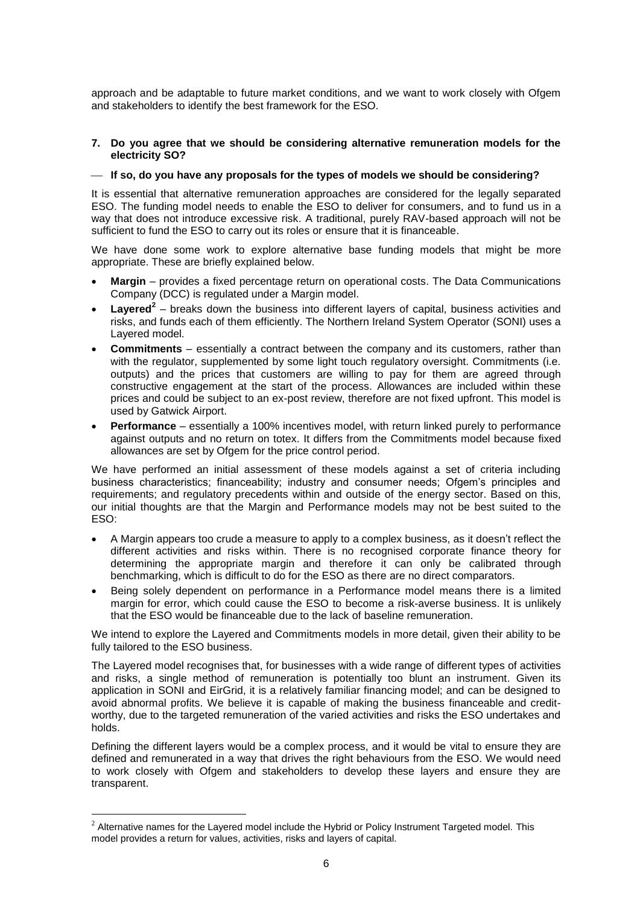approach and be adaptable to future market conditions, and we want to work closely with Ofgem and stakeholders to identify the best framework for the ESO.

### **7. Do you agree that we should be considering alternative remuneration models for the electricity SO?**

### **If so, do you have any proposals for the types of models we should be considering?**

It is essential that alternative remuneration approaches are considered for the legally separated ESO. The funding model needs to enable the ESO to deliver for consumers, and to fund us in a way that does not introduce excessive risk. A traditional, purely RAV-based approach will not be sufficient to fund the ESO to carry out its roles or ensure that it is financeable.

We have done some work to explore alternative base funding models that might be more appropriate. These are briefly explained below.

- **Margin**  provides a fixed percentage return on operational costs. The Data Communications Company (DCC) is regulated under a Margin model.
- **Layered**<sup>2</sup> breaks down the business into different layers of capital, business activities and risks, and funds each of them efficiently. The Northern Ireland System Operator (SONI) uses a Layered model.
- **Commitments** essentially a contract between the company and its customers, rather than with the regulator, supplemented by some light touch regulatory oversight. Commitments (i.e. outputs) and the prices that customers are willing to pay for them are agreed through constructive engagement at the start of the process. Allowances are included within these prices and could be subject to an ex-post review, therefore are not fixed upfront. This model is used by Gatwick Airport.
- **Performance** essentially a 100% incentives model, with return linked purely to performance against outputs and no return on totex. It differs from the Commitments model because fixed allowances are set by Ofgem for the price control period.

We have performed an initial assessment of these models against a set of criteria including business characteristics; financeability; industry and consumer needs; Ofgem's principles and requirements; and regulatory precedents within and outside of the energy sector. Based on this, our initial thoughts are that the Margin and Performance models may not be best suited to the ESO:

- A Margin appears too crude a measure to apply to a complex business, as it doesn't reflect the different activities and risks within. There is no recognised corporate finance theory for determining the appropriate margin and therefore it can only be calibrated through benchmarking, which is difficult to do for the ESO as there are no direct comparators.
- Being solely dependent on performance in a Performance model means there is a limited margin for error, which could cause the ESO to become a risk-averse business. It is unlikely that the ESO would be financeable due to the lack of baseline remuneration.

We intend to explore the Layered and Commitments models in more detail, given their ability to be fully tailored to the ESO business.

The Layered model recognises that, for businesses with a wide range of different types of activities and risks, a single method of remuneration is potentially too blunt an instrument. Given its application in SONI and EirGrid, it is a relatively familiar financing model; and can be designed to avoid abnormal profits. We believe it is capable of making the business financeable and creditworthy, due to the targeted remuneration of the varied activities and risks the ESO undertakes and holds.

Defining the different layers would be a complex process, and it would be vital to ensure they are defined and remunerated in a way that drives the right behaviours from the ESO. We would need to work closely with Ofgem and stakeholders to develop these layers and ensure they are transparent.

 $^{2}$  Alternative names for the Layered model include the Hybrid or Policy Instrument Targeted model. This model provides a return for values, activities, risks and layers of capital.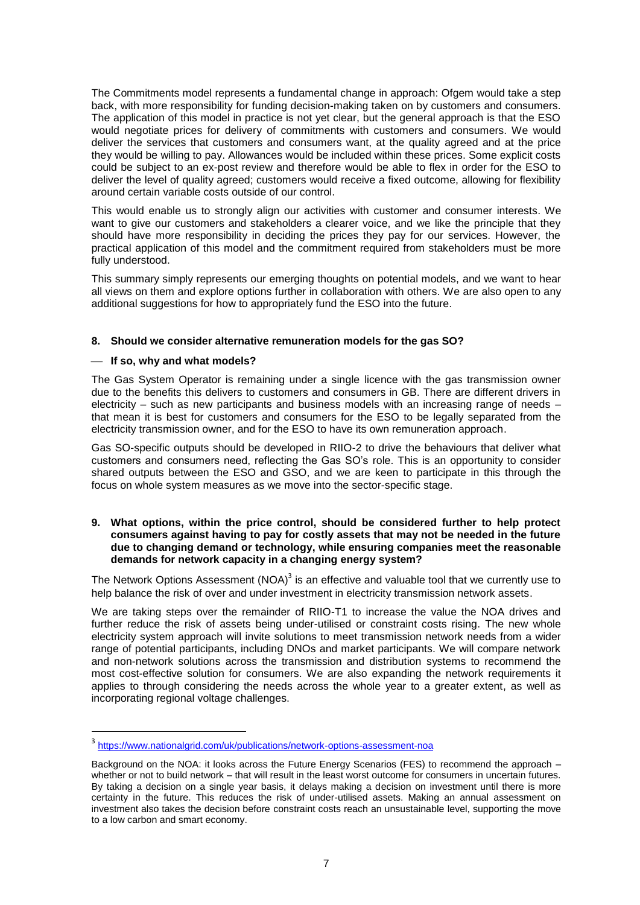The Commitments model represents a fundamental change in approach: Ofgem would take a step back, with more responsibility for funding decision-making taken on by customers and consumers. The application of this model in practice is not yet clear, but the general approach is that the ESO would negotiate prices for delivery of commitments with customers and consumers. We would deliver the services that customers and consumers want, at the quality agreed and at the price they would be willing to pay. Allowances would be included within these prices. Some explicit costs could be subject to an ex-post review and therefore would be able to flex in order for the ESO to deliver the level of quality agreed; customers would receive a fixed outcome, allowing for flexibility around certain variable costs outside of our control.

This would enable us to strongly align our activities with customer and consumer interests. We want to give our customers and stakeholders a clearer voice, and we like the principle that they should have more responsibility in deciding the prices they pay for our services. However, the practical application of this model and the commitment required from stakeholders must be more fully understood.

This summary simply represents our emerging thoughts on potential models, and we want to hear all views on them and explore options further in collaboration with others. We are also open to any additional suggestions for how to appropriately fund the ESO into the future.

## **8. Should we consider alternative remuneration models for the gas SO?**

## **If so, why and what models?**

<u>.</u>

The Gas System Operator is remaining under a single licence with the gas transmission owner due to the benefits this delivers to customers and consumers in GB. There are different drivers in electricity – such as new participants and business models with an increasing range of needs – that mean it is best for customers and consumers for the ESO to be legally separated from the electricity transmission owner, and for the ESO to have its own remuneration approach.

Gas SO-specific outputs should be developed in RIIO-2 to drive the behaviours that deliver what customers and consumers need, reflecting the Gas SO's role. This is an opportunity to consider shared outputs between the ESO and GSO, and we are keen to participate in this through the focus on whole system measures as we move into the sector-specific stage.

**9. What options, within the price control, should be considered further to help protect consumers against having to pay for costly assets that may not be needed in the future due to changing demand or technology, while ensuring companies meet the reasonable demands for network capacity in a changing energy system?** 

The Network Options Assessment  $(NOA)^3$  is an effective and valuable tool that we currently use to help balance the risk of over and under investment in electricity transmission network assets.

We are taking steps over the remainder of RIIO-T1 to increase the value the NOA drives and further reduce the risk of assets being under-utilised or constraint costs rising. The new whole electricity system approach will invite solutions to meet transmission network needs from a wider range of potential participants, including DNOs and market participants. We will compare network and non-network solutions across the transmission and distribution systems to recommend the most cost-effective solution for consumers. We are also expanding the network requirements it applies to through considering the needs across the whole year to a greater extent, as well as incorporating regional voltage challenges.

<sup>&</sup>lt;sup>3</sup> <https://www.nationalgrid.com/uk/publications/network-options-assessment-noa>

Background on the NOA: it looks across the Future Energy Scenarios (FES) to recommend the approach – whether or not to build network – that will result in the least worst outcome for consumers in uncertain futures. By taking a decision on a single year basis, it delays making a decision on investment until there is more certainty in the future. This reduces the risk of under-utilised assets. Making an annual assessment on investment also takes the decision before constraint costs reach an unsustainable level, supporting the move to a low carbon and smart economy.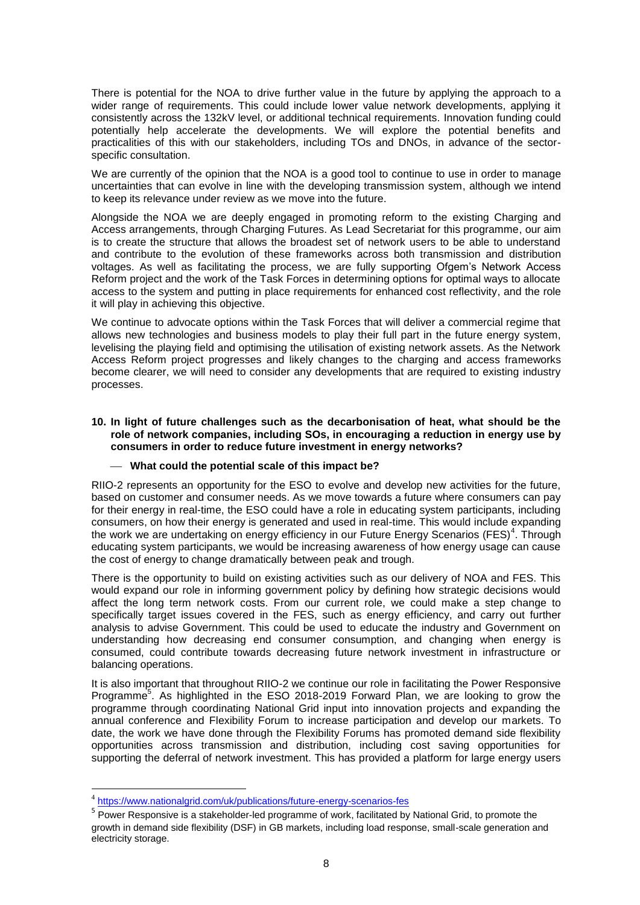There is potential for the NOA to drive further value in the future by applying the approach to a wider range of requirements. This could include lower value network developments, applying it consistently across the 132kV level, or additional technical requirements. Innovation funding could potentially help accelerate the developments. We will explore the potential benefits and practicalities of this with our stakeholders, including TOs and DNOs, in advance of the sectorspecific consultation.

We are currently of the opinion that the NOA is a good tool to continue to use in order to manage uncertainties that can evolve in line with the developing transmission system, although we intend to keep its relevance under review as we move into the future.

Alongside the NOA we are deeply engaged in promoting reform to the existing Charging and Access arrangements, through Charging Futures. As Lead Secretariat for this programme, our aim is to create the structure that allows the broadest set of network users to be able to understand and contribute to the evolution of these frameworks across both transmission and distribution voltages. As well as facilitating the process, we are fully supporting Ofgem's Network Access Reform project and the work of the Task Forces in determining options for optimal ways to allocate access to the system and putting in place requirements for enhanced cost reflectivity, and the role it will play in achieving this objective.

We continue to advocate options within the Task Forces that will deliver a commercial regime that allows new technologies and business models to play their full part in the future energy system, levelising the playing field and optimising the utilisation of existing network assets. As the Network Access Reform project progresses and likely changes to the charging and access frameworks become clearer, we will need to consider any developments that are required to existing industry processes.

# **10. In light of future challenges such as the decarbonisation of heat, what should be the role of network companies, including SOs, in encouraging a reduction in energy use by consumers in order to reduce future investment in energy networks?**

# **What could the potential scale of this impact be?**

RIIO-2 represents an opportunity for the ESO to evolve and develop new activities for the future, based on customer and consumer needs. As we move towards a future where consumers can pay for their energy in real-time, the ESO could have a role in educating system participants, including consumers, on how their energy is generated and used in real-time. This would include expanding the work we are undertaking on energy efficiency in our Future Energy Scenarios (FES)<sup>4</sup>. Through educating system participants, we would be increasing awareness of how energy usage can cause the cost of energy to change dramatically between peak and trough.

There is the opportunity to build on existing activities such as our delivery of NOA and FES. This would expand our role in informing government policy by defining how strategic decisions would affect the long term network costs. From our current role, we could make a step change to specifically target issues covered in the FES, such as energy efficiency, and carry out further analysis to advise Government. This could be used to educate the industry and Government on understanding how decreasing end consumer consumption, and changing when energy is consumed, could contribute towards decreasing future network investment in infrastructure or balancing operations.

It is also important that throughout RIIO-2 we continue our role in facilitating the Power Responsive Programme<sup>5</sup>. As highlighted in the ESO 2018-2019 Forward Plan, we are looking to grow the programme through coordinating National Grid input into innovation projects and expanding the annual conference and Flexibility Forum to increase participation and develop our markets. To date, the work we have done through the Flexibility Forums has promoted demand side flexibility opportunities across transmission and distribution, including cost saving opportunities for supporting the deferral of network investment. This has provided a platform for large energy users

<sup>&</sup>lt;sup>4</sup> <https://www.nationalgrid.com/uk/publications/future-energy-scenarios-fes>

<sup>&</sup>lt;sup>5</sup> Power Responsive is a stakeholder-led programme of work, facilitated by National Grid, to promote the growth in demand side flexibility (DSF) in GB markets, including load response, small-scale generation and electricity storage.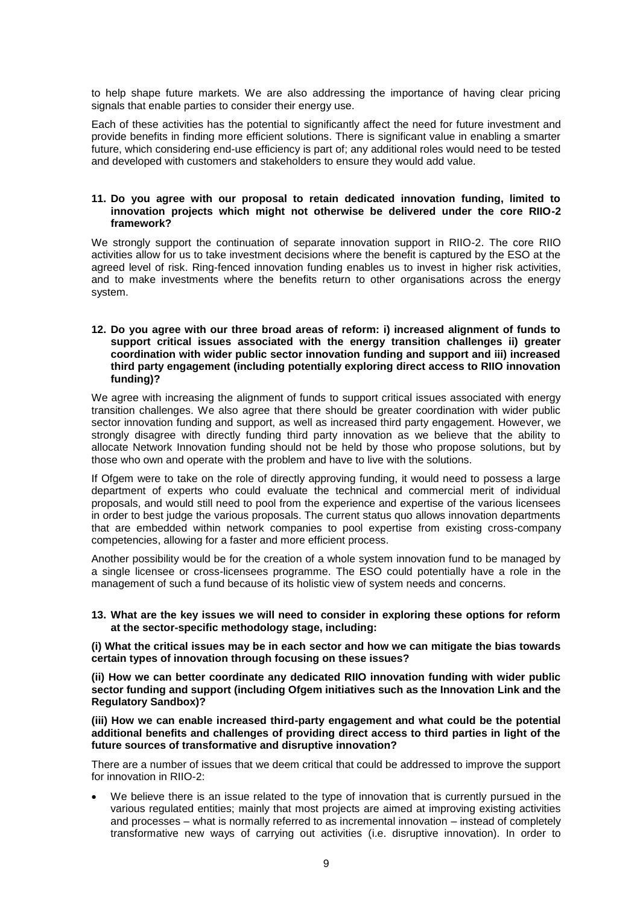to help shape future markets. We are also addressing the importance of having clear pricing signals that enable parties to consider their energy use.

Each of these activities has the potential to significantly affect the need for future investment and provide benefits in finding more efficient solutions. There is significant value in enabling a smarter future, which considering end-use efficiency is part of; any additional roles would need to be tested and developed with customers and stakeholders to ensure they would add value.

### **11. Do you agree with our proposal to retain dedicated innovation funding, limited to innovation projects which might not otherwise be delivered under the core RIIO-2 framework?**

We strongly support the continuation of separate innovation support in RIIO-2. The core RIIO activities allow for us to take investment decisions where the benefit is captured by the ESO at the agreed level of risk. Ring-fenced innovation funding enables us to invest in higher risk activities, and to make investments where the benefits return to other organisations across the energy system.

### **12. Do you agree with our three broad areas of reform: i) increased alignment of funds to support critical issues associated with the energy transition challenges ii) greater coordination with wider public sector innovation funding and support and iii) increased third party engagement (including potentially exploring direct access to RIIO innovation funding)?**

We agree with increasing the alignment of funds to support critical issues associated with energy transition challenges. We also agree that there should be greater coordination with wider public sector innovation funding and support, as well as increased third party engagement. However, we strongly disagree with directly funding third party innovation as we believe that the ability to allocate Network Innovation funding should not be held by those who propose solutions, but by those who own and operate with the problem and have to live with the solutions.

If Ofgem were to take on the role of directly approving funding, it would need to possess a large department of experts who could evaluate the technical and commercial merit of individual proposals, and would still need to pool from the experience and expertise of the various licensees in order to best judge the various proposals. The current status quo allows innovation departments that are embedded within network companies to pool expertise from existing cross-company competencies, allowing for a faster and more efficient process.

Another possibility would be for the creation of a whole system innovation fund to be managed by a single licensee or cross-licensees programme. The ESO could potentially have a role in the management of such a fund because of its holistic view of system needs and concerns.

## **13. What are the key issues we will need to consider in exploring these options for reform at the sector-specific methodology stage, including:**

**(i) What the critical issues may be in each sector and how we can mitigate the bias towards certain types of innovation through focusing on these issues?** 

**(ii) How we can better coordinate any dedicated RIIO innovation funding with wider public sector funding and support (including Ofgem initiatives such as the Innovation Link and the Regulatory Sandbox)?**

**(iii) How we can enable increased third-party engagement and what could be the potential additional benefits and challenges of providing direct access to third parties in light of the future sources of transformative and disruptive innovation?** 

There are a number of issues that we deem critical that could be addressed to improve the support for innovation in RIIO-2:

We believe there is an issue related to the type of innovation that is currently pursued in the various regulated entities; mainly that most projects are aimed at improving existing activities and processes – what is normally referred to as incremental innovation – instead of completely transformative new ways of carrying out activities (i.e. disruptive innovation). In order to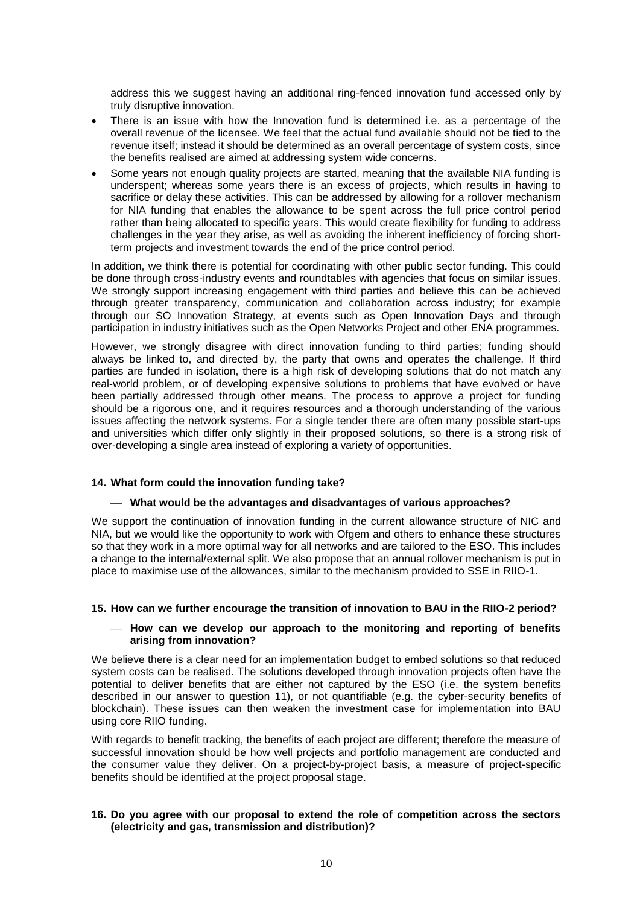address this we suggest having an additional ring-fenced innovation fund accessed only by truly disruptive innovation.

- There is an issue with how the Innovation fund is determined i.e. as a percentage of the overall revenue of the licensee. We feel that the actual fund available should not be tied to the revenue itself; instead it should be determined as an overall percentage of system costs, since the benefits realised are aimed at addressing system wide concerns.
- Some years not enough quality projects are started, meaning that the available NIA funding is underspent; whereas some years there is an excess of projects, which results in having to sacrifice or delay these activities. This can be addressed by allowing for a rollover mechanism for NIA funding that enables the allowance to be spent across the full price control period rather than being allocated to specific years. This would create flexibility for funding to address challenges in the year they arise, as well as avoiding the inherent inefficiency of forcing shortterm projects and investment towards the end of the price control period.

In addition, we think there is potential for coordinating with other public sector funding. This could be done through cross-industry events and roundtables with agencies that focus on similar issues. We strongly support increasing engagement with third parties and believe this can be achieved through greater transparency, communication and collaboration across industry; for example through our SO Innovation Strategy, at events such as Open Innovation Days and through participation in industry initiatives such as the Open Networks Project and other ENA programmes.

However, we strongly disagree with direct innovation funding to third parties; funding should always be linked to, and directed by, the party that owns and operates the challenge. If third parties are funded in isolation, there is a high risk of developing solutions that do not match any real-world problem, or of developing expensive solutions to problems that have evolved or have been partially addressed through other means. The process to approve a project for funding should be a rigorous one, and it requires resources and a thorough understanding of the various issues affecting the network systems. For a single tender there are often many possible start-ups and universities which differ only slightly in their proposed solutions, so there is a strong risk of over-developing a single area instead of exploring a variety of opportunities.

## **14. What form could the innovation funding take?**

# **What would be the advantages and disadvantages of various approaches?**

We support the continuation of innovation funding in the current allowance structure of NIC and NIA, but we would like the opportunity to work with Ofgem and others to enhance these structures so that they work in a more optimal way for all networks and are tailored to the ESO. This includes a change to the internal/external split. We also propose that an annual rollover mechanism is put in place to maximise use of the allowances, similar to the mechanism provided to SSE in RIIO-1.

## **15. How can we further encourage the transition of innovation to BAU in the RIIO-2 period?**

## **How can we develop our approach to the monitoring and reporting of benefits arising from innovation?**

We believe there is a clear need for an implementation budget to embed solutions so that reduced system costs can be realised. The solutions developed through innovation projects often have the potential to deliver benefits that are either not captured by the ESO (i.e. the system benefits described in our answer to question 11), or not quantifiable (e.g. the cyber-security benefits of blockchain). These issues can then weaken the investment case for implementation into BAU using core RIIO funding.

With regards to benefit tracking, the benefits of each project are different; therefore the measure of successful innovation should be how well projects and portfolio management are conducted and the consumer value they deliver. On a project-by-project basis, a measure of project-specific benefits should be identified at the project proposal stage.

## **16. Do you agree with our proposal to extend the role of competition across the sectors (electricity and gas, transmission and distribution)?**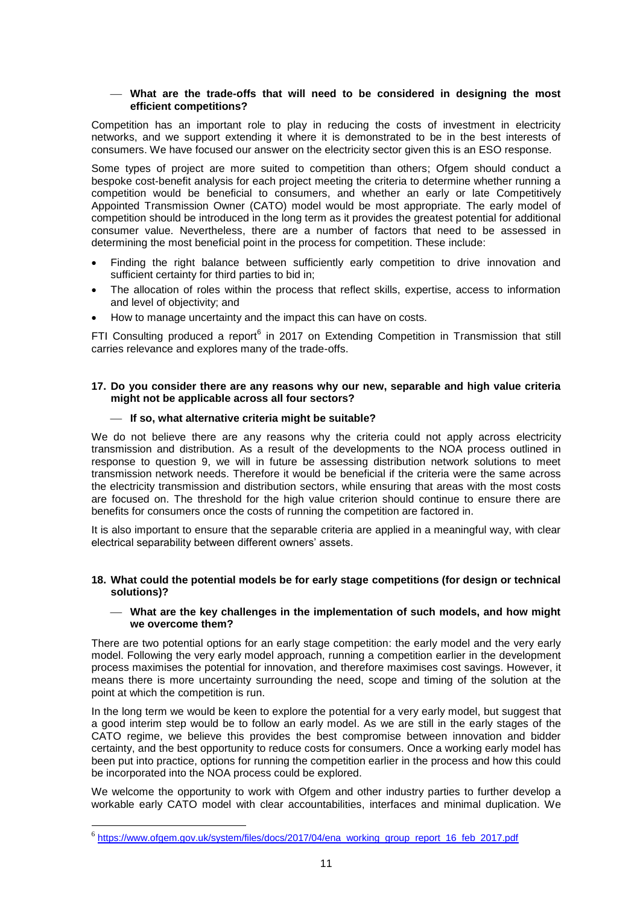# **What are the trade-offs that will need to be considered in designing the most efficient competitions?**

Competition has an important role to play in reducing the costs of investment in electricity networks, and we support extending it where it is demonstrated to be in the best interests of consumers. We have focused our answer on the electricity sector given this is an ESO response.

Some types of project are more suited to competition than others; Ofgem should conduct a bespoke cost-benefit analysis for each project meeting the criteria to determine whether running a competition would be beneficial to consumers, and whether an early or late Competitively Appointed Transmission Owner (CATO) model would be most appropriate. The early model of competition should be introduced in the long term as it provides the greatest potential for additional consumer value. Nevertheless, there are a number of factors that need to be assessed in determining the most beneficial point in the process for competition. These include:

- Finding the right balance between sufficiently early competition to drive innovation and sufficient certainty for third parties to bid in;
- The allocation of roles within the process that reflect skills, expertise, access to information and level of objectivity; and
- How to manage uncertainty and the impact this can have on costs.

FTI Consulting produced a report<sup>6</sup> in 2017 on Extending Competition in Transmission that still carries relevance and explores many of the trade-offs.

# **17. Do you consider there are any reasons why our new, separable and high value criteria might not be applicable across all four sectors?**

# **If so, what alternative criteria might be suitable?**

We do not believe there are any reasons why the criteria could not apply across electricity transmission and distribution. As a result of the developments to the NOA process outlined in response to question 9, we will in future be assessing distribution network solutions to meet transmission network needs. Therefore it would be beneficial if the criteria were the same across the electricity transmission and distribution sectors, while ensuring that areas with the most costs are focused on. The threshold for the high value criterion should continue to ensure there are benefits for consumers once the costs of running the competition are factored in.

It is also important to ensure that the separable criteria are applied in a meaningful way, with clear electrical separability between different owners' assets.

# **18. What could the potential models be for early stage competitions (for design or technical solutions)?**

## **What are the key challenges in the implementation of such models, and how might we overcome them?**

There are two potential options for an early stage competition: the early model and the very early model. Following the very early model approach, running a competition earlier in the development process maximises the potential for innovation, and therefore maximises cost savings. However, it means there is more uncertainty surrounding the need, scope and timing of the solution at the point at which the competition is run.

In the long term we would be keen to explore the potential for a very early model, but suggest that a good interim step would be to follow an early model. As we are still in the early stages of the CATO regime, we believe this provides the best compromise between innovation and bidder certainty, and the best opportunity to reduce costs for consumers. Once a working early model has been put into practice, options for running the competition earlier in the process and how this could be incorporated into the NOA process could be explored.

We welcome the opportunity to work with Ofgem and other industry parties to further develop a workable early CATO model with clear accountabilities, interfaces and minimal duplication. We

<sup>&</sup>lt;sup>6</sup> [https://www.ofgem.gov.uk/system/files/docs/2017/04/ena\\_working\\_group\\_report\\_16\\_feb\\_2017.pdf](https://www.ofgem.gov.uk/system/files/docs/2017/04/ena_working_group_report_16_feb_2017.pdf)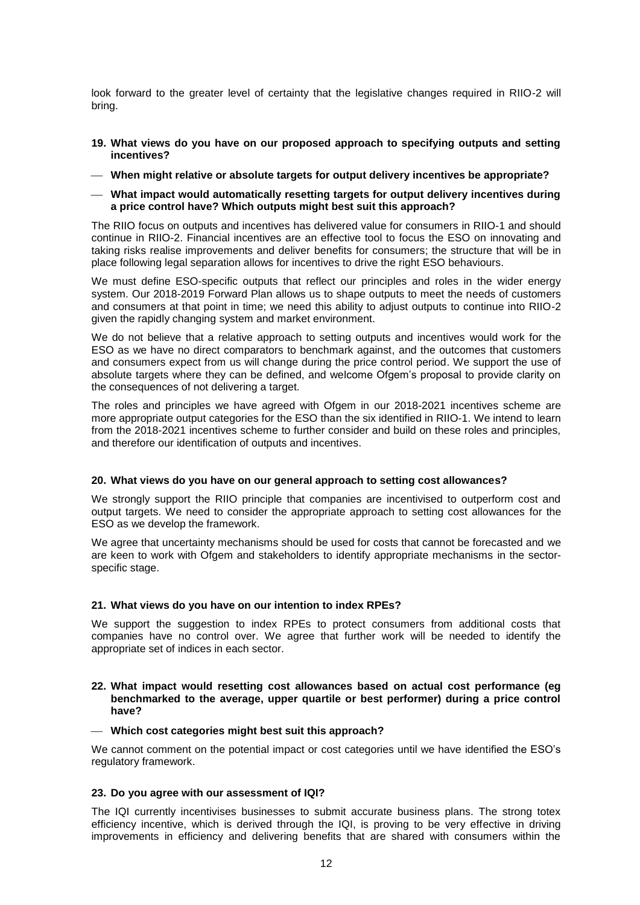look forward to the greater level of certainty that the legislative changes required in RIIO-2 will bring.

- **19. What views do you have on our proposed approach to specifying outputs and setting incentives?**
- **When might relative or absolute targets for output delivery incentives be appropriate?**
- **What impact would automatically resetting targets for output delivery incentives during a price control have? Which outputs might best suit this approach?**

The RIIO focus on outputs and incentives has delivered value for consumers in RIIO-1 and should continue in RIIO-2. Financial incentives are an effective tool to focus the ESO on innovating and taking risks realise improvements and deliver benefits for consumers; the structure that will be in place following legal separation allows for incentives to drive the right ESO behaviours.

We must define ESO-specific outputs that reflect our principles and roles in the wider energy system. Our 2018-2019 Forward Plan allows us to shape outputs to meet the needs of customers and consumers at that point in time; we need this ability to adjust outputs to continue into RIIO-2 given the rapidly changing system and market environment.

We do not believe that a relative approach to setting outputs and incentives would work for the ESO as we have no direct comparators to benchmark against, and the outcomes that customers and consumers expect from us will change during the price control period. We support the use of absolute targets where they can be defined, and welcome Ofgem's proposal to provide clarity on the consequences of not delivering a target.

The roles and principles we have agreed with Ofgem in our 2018-2021 incentives scheme are more appropriate output categories for the ESO than the six identified in RIIO-1. We intend to learn from the 2018-2021 incentives scheme to further consider and build on these roles and principles, and therefore our identification of outputs and incentives.

### **20. What views do you have on our general approach to setting cost allowances?**

We strongly support the RIIO principle that companies are incentivised to outperform cost and output targets. We need to consider the appropriate approach to setting cost allowances for the ESO as we develop the framework.

We agree that uncertainty mechanisms should be used for costs that cannot be forecasted and we are keen to work with Ofgem and stakeholders to identify appropriate mechanisms in the sectorspecific stage.

### **21. What views do you have on our intention to index RPEs?**

We support the suggestion to index RPEs to protect consumers from additional costs that companies have no control over. We agree that further work will be needed to identify the appropriate set of indices in each sector.

- **22. What impact would resetting cost allowances based on actual cost performance (eg benchmarked to the average, upper quartile or best performer) during a price control have?**
- **Which cost categories might best suit this approach?**

We cannot comment on the potential impact or cost categories until we have identified the ESO's regulatory framework.

#### **23. Do you agree with our assessment of IQI?**

The IQI currently incentivises businesses to submit accurate business plans. The strong totex efficiency incentive, which is derived through the IQI, is proving to be very effective in driving improvements in efficiency and delivering benefits that are shared with consumers within the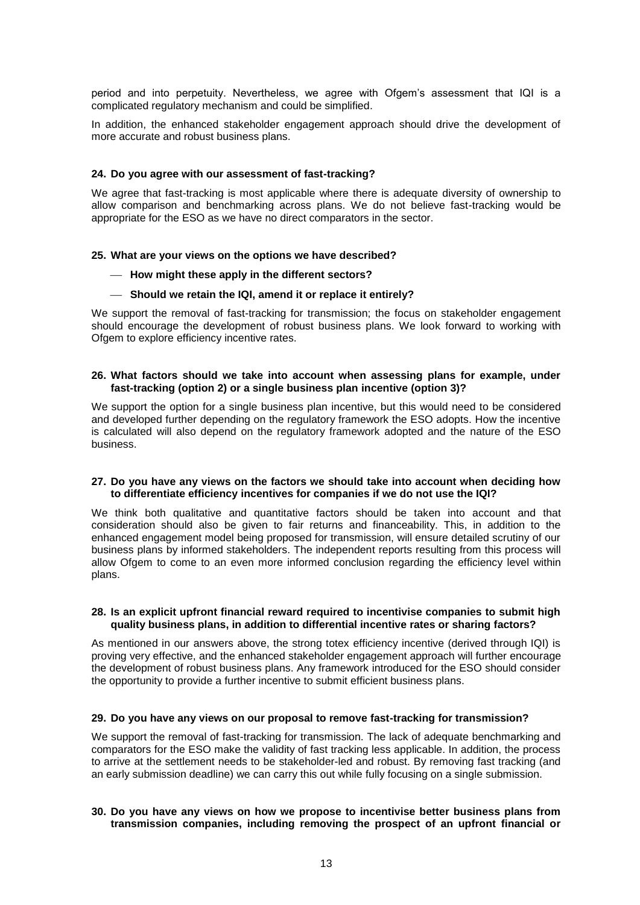period and into perpetuity. Nevertheless, we agree with Ofgem's assessment that IQI is a complicated regulatory mechanism and could be simplified.

In addition, the enhanced stakeholder engagement approach should drive the development of more accurate and robust business plans.

#### **24. Do you agree with our assessment of fast-tracking?**

We agree that fast-tracking is most applicable where there is adequate diversity of ownership to allow comparison and benchmarking across plans. We do not believe fast-tracking would be appropriate for the ESO as we have no direct comparators in the sector.

#### **25. What are your views on the options we have described?**

#### $-$  How might these apply in the different sectors?

#### **Should we retain the IQI, amend it or replace it entirely?**

We support the removal of fast-tracking for transmission; the focus on stakeholder engagement should encourage the development of robust business plans. We look forward to working with Ofgem to explore efficiency incentive rates.

### **26. What factors should we take into account when assessing plans for example, under fast-tracking (option 2) or a single business plan incentive (option 3)?**

We support the option for a single business plan incentive, but this would need to be considered and developed further depending on the regulatory framework the ESO adopts. How the incentive is calculated will also depend on the regulatory framework adopted and the nature of the ESO business.

#### **27. Do you have any views on the factors we should take into account when deciding how to differentiate efficiency incentives for companies if we do not use the IQI?**

We think both qualitative and quantitative factors should be taken into account and that consideration should also be given to fair returns and financeability. This, in addition to the enhanced engagement model being proposed for transmission, will ensure detailed scrutiny of our business plans by informed stakeholders. The independent reports resulting from this process will allow Ofgem to come to an even more informed conclusion regarding the efficiency level within plans.

#### **28. Is an explicit upfront financial reward required to incentivise companies to submit high quality business plans, in addition to differential incentive rates or sharing factors?**

As mentioned in our answers above, the strong totex efficiency incentive (derived through IQI) is proving very effective, and the enhanced stakeholder engagement approach will further encourage the development of robust business plans. Any framework introduced for the ESO should consider the opportunity to provide a further incentive to submit efficient business plans.

#### **29. Do you have any views on our proposal to remove fast-tracking for transmission?**

We support the removal of fast-tracking for transmission. The lack of adequate benchmarking and comparators for the ESO make the validity of fast tracking less applicable. In addition, the process to arrive at the settlement needs to be stakeholder-led and robust. By removing fast tracking (and an early submission deadline) we can carry this out while fully focusing on a single submission.

### **30. Do you have any views on how we propose to incentivise better business plans from transmission companies, including removing the prospect of an upfront financial or**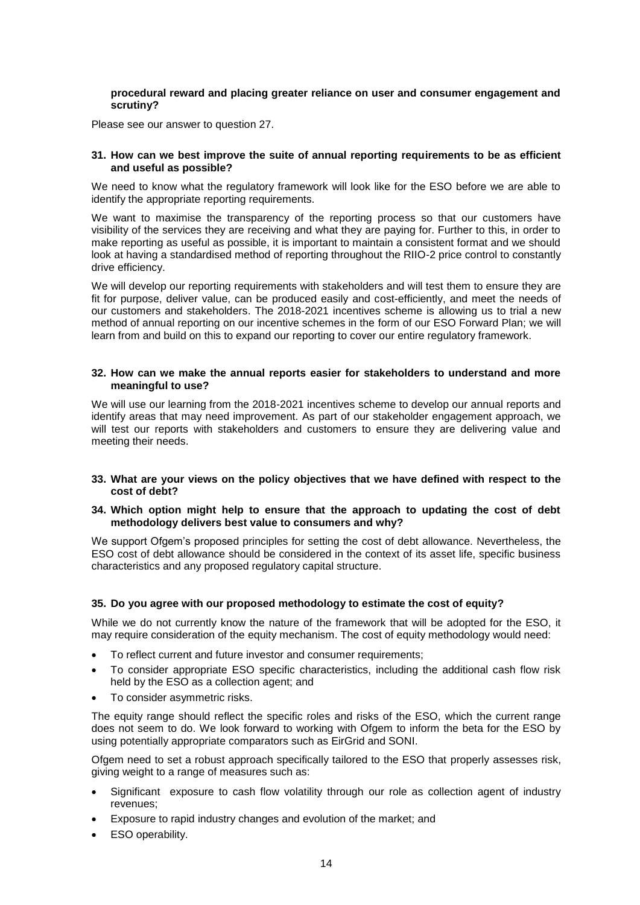# **procedural reward and placing greater reliance on user and consumer engagement and scrutiny?**

Please see our answer to question 27.

# **31. How can we best improve the suite of annual reporting requirements to be as efficient and useful as possible?**

We need to know what the regulatory framework will look like for the ESO before we are able to identify the appropriate reporting requirements.

We want to maximise the transparency of the reporting process so that our customers have visibility of the services they are receiving and what they are paying for. Further to this, in order to make reporting as useful as possible, it is important to maintain a consistent format and we should look at having a standardised method of reporting throughout the RIIO-2 price control to constantly drive efficiency.

We will develop our reporting requirements with stakeholders and will test them to ensure they are fit for purpose, deliver value, can be produced easily and cost-efficiently, and meet the needs of our customers and stakeholders. The 2018-2021 incentives scheme is allowing us to trial a new method of annual reporting on our incentive schemes in the form of our ESO Forward Plan; we will learn from and build on this to expand our reporting to cover our entire regulatory framework.

### **32. How can we make the annual reports easier for stakeholders to understand and more meaningful to use?**

We will use our learning from the 2018-2021 incentives scheme to develop our annual reports and identify areas that may need improvement. As part of our stakeholder engagement approach, we will test our reports with stakeholders and customers to ensure they are delivering value and meeting their needs.

#### **33. What are your views on the policy objectives that we have defined with respect to the cost of debt?**

## **34. Which option might help to ensure that the approach to updating the cost of debt methodology delivers best value to consumers and why?**

We support Ofgem's proposed principles for setting the cost of debt allowance. Nevertheless, the ESO cost of debt allowance should be considered in the context of its asset life, specific business characteristics and any proposed regulatory capital structure.

## **35. Do you agree with our proposed methodology to estimate the cost of equity?**

While we do not currently know the nature of the framework that will be adopted for the ESO, it may require consideration of the equity mechanism. The cost of equity methodology would need:

- To reflect current and future investor and consumer requirements;
- To consider appropriate ESO specific characteristics, including the additional cash flow risk held by the ESO as a collection agent; and
- To consider asymmetric risks.

The equity range should reflect the specific roles and risks of the ESO, which the current range does not seem to do. We look forward to working with Ofgem to inform the beta for the ESO by using potentially appropriate comparators such as EirGrid and SONI.

Ofgem need to set a robust approach specifically tailored to the ESO that properly assesses risk, giving weight to a range of measures such as:

- Significant exposure to cash flow volatility through our role as collection agent of industry revenues;
- Exposure to rapid industry changes and evolution of the market; and
- ESO operability.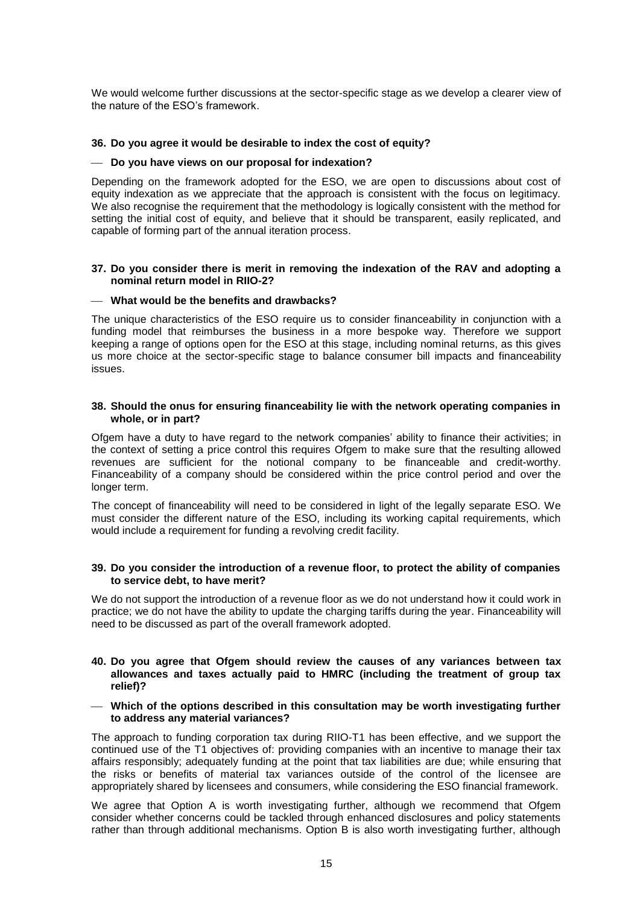We would welcome further discussions at the sector-specific stage as we develop a clearer view of the nature of the ESO's framework.

#### **36. Do you agree it would be desirable to index the cost of equity?**

#### **Do you have views on our proposal for indexation?**

Depending on the framework adopted for the ESO, we are open to discussions about cost of equity indexation as we appreciate that the approach is consistent with the focus on legitimacy. We also recognise the requirement that the methodology is logically consistent with the method for setting the initial cost of equity, and believe that it should be transparent, easily replicated, and capable of forming part of the annual iteration process.

### **37. Do you consider there is merit in removing the indexation of the RAV and adopting a nominal return model in RIIO-2?**

### **What would be the benefits and drawbacks?**

The unique characteristics of the ESO require us to consider financeability in conjunction with a funding model that reimburses the business in a more bespoke way. Therefore we support keeping a range of options open for the ESO at this stage, including nominal returns, as this gives us more choice at the sector-specific stage to balance consumer bill impacts and financeability issues.

# **38. Should the onus for ensuring financeability lie with the network operating companies in whole, or in part?**

Ofgem have a duty to have regard to the network companies' ability to finance their activities; in the context of setting a price control this requires Ofgem to make sure that the resulting allowed revenues are sufficient for the notional company to be financeable and credit-worthy. Financeability of a company should be considered within the price control period and over the longer term.

The concept of financeability will need to be considered in light of the legally separate ESO. We must consider the different nature of the ESO, including its working capital requirements, which would include a requirement for funding a revolving credit facility.

### **39. Do you consider the introduction of a revenue floor, to protect the ability of companies to service debt, to have merit?**

We do not support the introduction of a revenue floor as we do not understand how it could work in practice; we do not have the ability to update the charging tariffs during the year. Financeability will need to be discussed as part of the overall framework adopted.

### **40. Do you agree that Ofgem should review the causes of any variances between tax allowances and taxes actually paid to HMRC (including the treatment of group tax relief)?**

#### **Which of the options described in this consultation may be worth investigating further to address any material variances?**

The approach to funding corporation tax during RIIO-T1 has been effective, and we support the continued use of the T1 objectives of: providing companies with an incentive to manage their tax affairs responsibly; adequately funding at the point that tax liabilities are due; while ensuring that the risks or benefits of material tax variances outside of the control of the licensee are appropriately shared by licensees and consumers, while considering the ESO financial framework.

We agree that Option A is worth investigating further, although we recommend that Ofgem consider whether concerns could be tackled through enhanced disclosures and policy statements rather than through additional mechanisms. Option B is also worth investigating further, although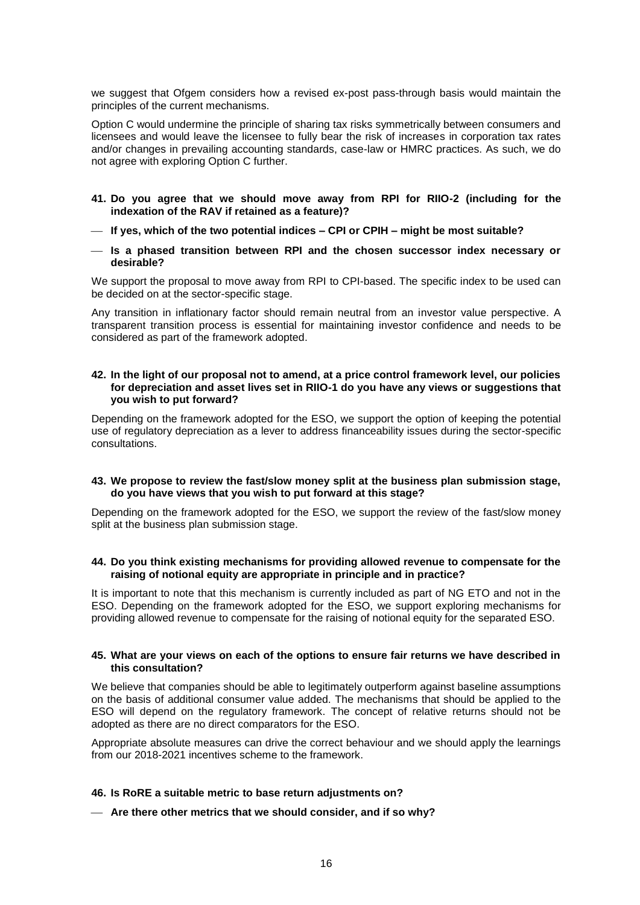we suggest that Ofgem considers how a revised ex-post pass-through basis would maintain the principles of the current mechanisms.

Option C would undermine the principle of sharing tax risks symmetrically between consumers and licensees and would leave the licensee to fully bear the risk of increases in corporation tax rates and/or changes in prevailing accounting standards, case-law or HMRC practices. As such, we do not agree with exploring Option C further.

- **41. Do you agree that we should move away from RPI for RIIO-2 (including for the indexation of the RAV if retained as a feature)?**
- **If yes, which of the two potential indices – CPI or CPIH – might be most suitable?**
- **Is a phased transition between RPI and the chosen successor index necessary or desirable?**

We support the proposal to move away from RPI to CPI-based. The specific index to be used can be decided on at the sector-specific stage.

Any transition in inflationary factor should remain neutral from an investor value perspective. A transparent transition process is essential for maintaining investor confidence and needs to be considered as part of the framework adopted.

### **42. In the light of our proposal not to amend, at a price control framework level, our policies for depreciation and asset lives set in RIIO-1 do you have any views or suggestions that you wish to put forward?**

Depending on the framework adopted for the ESO, we support the option of keeping the potential use of regulatory depreciation as a lever to address financeability issues during the sector-specific consultations.

## **43. We propose to review the fast/slow money split at the business plan submission stage, do you have views that you wish to put forward at this stage?**

Depending on the framework adopted for the ESO, we support the review of the fast/slow money split at the business plan submission stage.

### **44. Do you think existing mechanisms for providing allowed revenue to compensate for the raising of notional equity are appropriate in principle and in practice?**

It is important to note that this mechanism is currently included as part of NG ETO and not in the ESO. Depending on the framework adopted for the ESO, we support exploring mechanisms for providing allowed revenue to compensate for the raising of notional equity for the separated ESO.

### **45. What are your views on each of the options to ensure fair returns we have described in this consultation?**

We believe that companies should be able to legitimately outperform against baseline assumptions on the basis of additional consumer value added. The mechanisms that should be applied to the ESO will depend on the regulatory framework. The concept of relative returns should not be adopted as there are no direct comparators for the ESO.

Appropriate absolute measures can drive the correct behaviour and we should apply the learnings from our 2018-2021 incentives scheme to the framework.

#### **46. Is RoRE a suitable metric to base return adjustments on?**

# **Are there other metrics that we should consider, and if so why?**